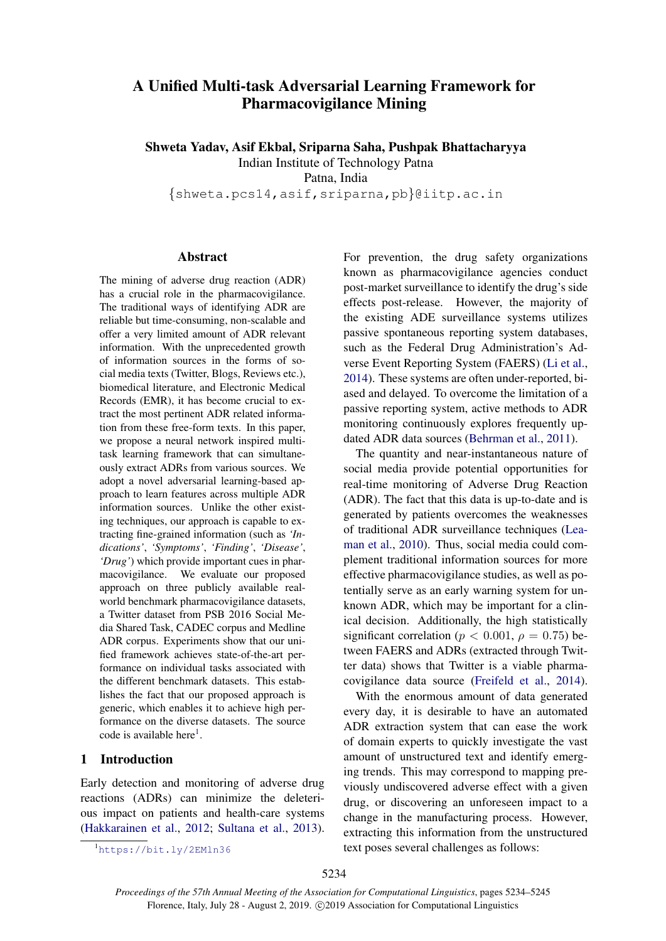# A Unified Multi-task Adversarial Learning Framework for Pharmacovigilance Mining

Shweta Yadav, Asif Ekbal, Sriparna Saha, Pushpak Bhattacharyya Indian Institute of Technology Patna

Patna, India

{shweta.pcs14,asif,sriparna,pb}@iitp.ac.in

# Abstract

The mining of adverse drug reaction (ADR) has a crucial role in the pharmacovigilance. The traditional ways of identifying ADR are reliable but time-consuming, non-scalable and offer a very limited amount of ADR relevant information. With the unprecedented growth of information sources in the forms of social media texts (Twitter, Blogs, Reviews etc.), biomedical literature, and Electronic Medical Records (EMR), it has become crucial to extract the most pertinent ADR related information from these free-form texts. In this paper, we propose a neural network inspired multitask learning framework that can simultaneously extract ADRs from various sources. We adopt a novel adversarial learning-based approach to learn features across multiple ADR information sources. Unlike the other existing techniques, our approach is capable to extracting fine-grained information (such as *'Indications'*, *'Symptoms'*, *'Finding'*, *'Disease'*, *'Drug'*) which provide important cues in pharmacovigilance. We evaluate our proposed approach on three publicly available realworld benchmark pharmacovigilance datasets, a Twitter dataset from PSB 2016 Social Media Shared Task, CADEC corpus and Medline ADR corpus. Experiments show that our unified framework achieves state-of-the-art performance on individual tasks associated with the different benchmark datasets. This establishes the fact that our proposed approach is generic, which enables it to achieve high performance on the diverse datasets. The source code is available here<sup>[1](#page-0-0)</sup>.

## 1 Introduction

Early detection and monitoring of adverse drug reactions (ADRs) can minimize the deleterious impact on patients and health-care systems [\(Hakkarainen et al.,](#page-9-0) [2012;](#page-9-0) [Sultana et al.,](#page-10-0) [2013\)](#page-10-0).

<span id="page-0-0"></span><sup>1</sup><https://bit.ly/2EMln36>

For prevention, the drug safety organizations known as pharmacovigilance agencies conduct post-market surveillance to identify the drug's side effects post-release. However, the majority of the existing ADE surveillance systems utilizes passive spontaneous reporting system databases, such as the Federal Drug Administration's Adverse Event Reporting System (FAERS) [\(Li et al.,](#page-10-1) [2014\)](#page-10-1). These systems are often under-reported, biased and delayed. To overcome the limitation of a passive reporting system, active methods to ADR monitoring continuously explores frequently updated ADR data sources [\(Behrman et al.,](#page-9-1) [2011\)](#page-9-1).

The quantity and near-instantaneous nature of social media provide potential opportunities for real-time monitoring of Adverse Drug Reaction (ADR). The fact that this data is up-to-date and is generated by patients overcomes the weaknesses of traditional ADR surveillance techniques [\(Lea](#page-10-2)[man et al.,](#page-10-2) [2010\)](#page-10-2). Thus, social media could complement traditional information sources for more effective pharmacovigilance studies, as well as potentially serve as an early warning system for unknown ADR, which may be important for a clinical decision. Additionally, the high statistically significant correlation ( $p < 0.001$ ,  $\rho = 0.75$ ) between FAERS and ADRs (extracted through Twitter data) shows that Twitter is a viable pharmacovigilance data source [\(Freifeld et al.,](#page-9-2) [2014\)](#page-9-2).

With the enormous amount of data generated every day, it is desirable to have an automated ADR extraction system that can ease the work of domain experts to quickly investigate the vast amount of unstructured text and identify emerging trends. This may correspond to mapping previously undiscovered adverse effect with a given drug, or discovering an unforeseen impact to a change in the manufacturing process. However, extracting this information from the unstructured text poses several challenges as follows: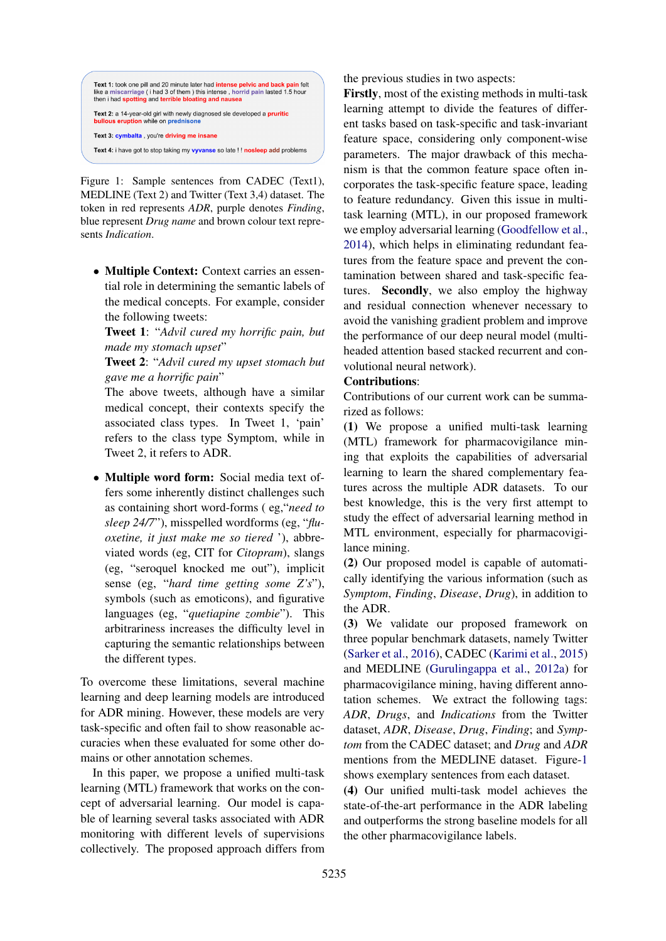<span id="page-1-0"></span>

Figure 1: Sample sentences from CADEC (Text1), MEDLINE (Text 2) and Twitter (Text 3,4) dataset. The token in red represents *ADR*, purple denotes *Finding*, blue represent *Drug name* and brown colour text represents *Indication*.

• Multiple Context: Context carries an essential role in determining the semantic labels of the medical concepts. For example, consider the following tweets:

Tweet 1: "*Advil cured my horrific pain, but made my stomach upset*"

Tweet 2: "*Advil cured my upset stomach but gave me a horrific pain*"

The above tweets, although have a similar medical concept, their contexts specify the associated class types. In Tweet 1, 'pain' refers to the class type Symptom, while in Tweet 2, it refers to ADR.

• Multiple word form: Social media text offers some inherently distinct challenges such as containing short word-forms ( eg,"*need to sleep 24/7*"), misspelled wordforms (eg, "*fluoxetine, it just make me so tiered* '), abbreviated words (eg, CIT for *Citopram*), slangs (eg, "seroquel knocked me out"), implicit sense (eg, "*hard time getting some Z's*"), symbols (such as emoticons), and figurative languages (eg, "*quetiapine zombie*"). This arbitrariness increases the difficulty level in capturing the semantic relationships between the different types.

To overcome these limitations, several machine learning and deep learning models are introduced for ADR mining. However, these models are very task-specific and often fail to show reasonable accuracies when these evaluated for some other domains or other annotation schemes.

In this paper, we propose a unified multi-task learning (MTL) framework that works on the concept of adversarial learning. Our model is capable of learning several tasks associated with ADR monitoring with different levels of supervisions collectively. The proposed approach differs from the previous studies in two aspects:

Firstly, most of the existing methods in multi-task learning attempt to divide the features of different tasks based on task-specific and task-invariant feature space, considering only component-wise parameters. The major drawback of this mechanism is that the common feature space often incorporates the task-specific feature space, leading to feature redundancy. Given this issue in multitask learning (MTL), in our proposed framework we employ adversarial learning [\(Goodfellow et al.,](#page-9-3) [2014\)](#page-9-3), which helps in eliminating redundant features from the feature space and prevent the contamination between shared and task-specific features. Secondly, we also employ the highway and residual connection whenever necessary to avoid the vanishing gradient problem and improve the performance of our deep neural model (multiheaded attention based stacked recurrent and convolutional neural network).

### Contributions:

Contributions of our current work can be summarized as follows:

(1) We propose a unified multi-task learning (MTL) framework for pharmacovigilance mining that exploits the capabilities of adversarial learning to learn the shared complementary features across the multiple ADR datasets. To our best knowledge, this is the very first attempt to study the effect of adversarial learning method in MTL environment, especially for pharmacovigilance mining.

(2) Our proposed model is capable of automatically identifying the various information (such as *Symptom*, *Finding*, *Disease*, *Drug*), in addition to the ADR.

(3) We validate our proposed framework on three popular benchmark datasets, namely Twitter [\(Sarker et al.,](#page-10-3) [2016\)](#page-10-3), CADEC [\(Karimi et al.,](#page-9-4) [2015\)](#page-9-4) and MEDLINE [\(Gurulingappa et al.,](#page-9-5) [2012a\)](#page-9-5) for pharmacovigilance mining, having different annotation schemes. We extract the following tags: *ADR*, *Drugs*, and *Indications* from the Twitter dataset, *ADR*, *Disease*, *Drug*, *Finding*; and *Symptom* from the CADEC dataset; and *Drug* and *ADR* mentions from the MEDLINE dataset. Figure[-1](#page-1-0) shows exemplary sentences from each dataset.

(4) Our unified multi-task model achieves the state-of-the-art performance in the ADR labeling and outperforms the strong baseline models for all the other pharmacovigilance labels.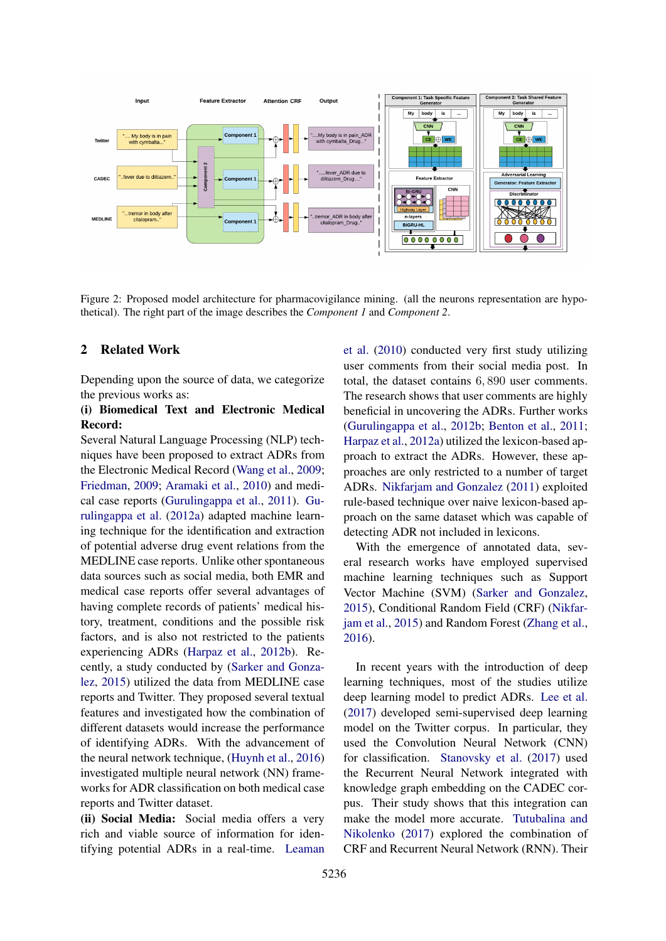

Figure 2: Proposed model architecture for pharmacovigilance mining. (all the neurons representation are hypothetical). The right part of the image describes the *Component 1* and *Component 2*.

# 2 Related Work

Depending upon the source of data, we categorize the previous works as:

# (i) Biomedical Text and Electronic Medical Record:

Several Natural Language Processing (NLP) techniques have been proposed to extract ADRs from the Electronic Medical Record [\(Wang et al.,](#page-10-4) [2009;](#page-10-4) [Friedman,](#page-9-6) [2009;](#page-9-6) [Aramaki et al.,](#page-8-0) [2010\)](#page-8-0) and medical case reports [\(Gurulingappa et al.,](#page-9-7) [2011\)](#page-9-7). [Gu](#page-9-5)[rulingappa et al.](#page-9-5) [\(2012a\)](#page-9-5) adapted machine learning technique for the identification and extraction of potential adverse drug event relations from the MEDLINE case reports. Unlike other spontaneous data sources such as social media, both EMR and medical case reports offer several advantages of having complete records of patients' medical history, treatment, conditions and the possible risk factors, and is also not restricted to the patients experiencing ADRs [\(Harpaz et al.,](#page-9-8) [2012b\)](#page-9-8). Recently, a study conducted by [\(Sarker and Gonza](#page-10-5)[lez,](#page-10-5) [2015\)](#page-10-5) utilized the data from MEDLINE case reports and Twitter. They proposed several textual features and investigated how the combination of different datasets would increase the performance of identifying ADRs. With the advancement of the neural network technique, [\(Huynh et al.,](#page-9-9) [2016\)](#page-9-9) investigated multiple neural network (NN) frameworks for ADR classification on both medical case reports and Twitter dataset.

(ii) Social Media: Social media offers a very rich and viable source of information for identifying potential ADRs in a real-time. [Leaman](#page-10-2)

[et al.](#page-10-2) [\(2010\)](#page-10-2) conducted very first study utilizing user comments from their social media post. In total, the dataset contains 6, 890 user comments. The research shows that user comments are highly beneficial in uncovering the ADRs. Further works [\(Gurulingappa et al.,](#page-9-10) [2012b;](#page-9-10) [Benton et al.,](#page-9-11) [2011;](#page-9-11) [Harpaz et al.,](#page-9-12) [2012a\)](#page-9-12) utilized the lexicon-based approach to extract the ADRs. However, these approaches are only restricted to a number of target ADRs. [Nikfarjam and Gonzalez](#page-10-6) [\(2011\)](#page-10-6) exploited rule-based technique over naive lexicon-based approach on the same dataset which was capable of detecting ADR not included in lexicons.

With the emergence of annotated data, several research works have employed supervised machine learning techniques such as Support Vector Machine (SVM) [\(Sarker and Gonzalez,](#page-10-5) [2015\)](#page-10-5), Conditional Random Field (CRF) [\(Nikfar](#page-10-7)[jam et al.,](#page-10-7) [2015\)](#page-10-7) and Random Forest [\(Zhang et al.,](#page-11-0) [2016\)](#page-11-0).

In recent years with the introduction of deep learning techniques, most of the studies utilize deep learning model to predict ADRs. [Lee et al.](#page-10-8) [\(2017\)](#page-10-8) developed semi-supervised deep learning model on the Twitter corpus. In particular, they used the Convolution Neural Network (CNN) for classification. [Stanovsky et al.](#page-10-9) [\(2017\)](#page-10-9) used the Recurrent Neural Network integrated with knowledge graph embedding on the CADEC corpus. Their study shows that this integration can make the model more accurate. [Tutubalina and](#page-10-10) [Nikolenko](#page-10-10) [\(2017\)](#page-10-10) explored the combination of CRF and Recurrent Neural Network (RNN). Their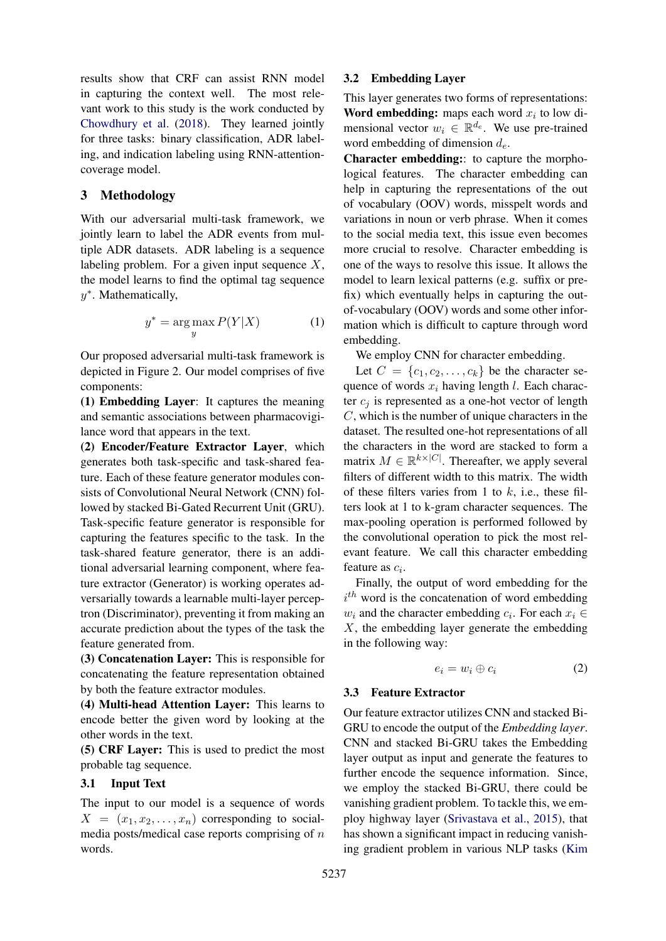results show that CRF can assist RNN model in capturing the context well. The most relevant work to this study is the work conducted by [Chowdhury et al.](#page-9-13) [\(2018\)](#page-9-13). They learned jointly for three tasks: binary classification, ADR labeling, and indication labeling using RNN-attentioncoverage model.

# 3 Methodology

With our adversarial multi-task framework, we jointly learn to label the ADR events from multiple ADR datasets. ADR labeling is a sequence labeling problem. For a given input sequence  $X$ , the model learns to find the optimal tag sequence y ∗ . Mathematically,

$$
y^* = \arg\max_{y} P(Y|X)
$$
 (1)

Our proposed adversarial multi-task framework is depicted in Figure 2. Our model comprises of five components:

(1) Embedding Layer: It captures the meaning and semantic associations between pharmacovigilance word that appears in the text.

(2) Encoder/Feature Extractor Layer, which generates both task-specific and task-shared feature. Each of these feature generator modules consists of Convolutional Neural Network (CNN) followed by stacked Bi-Gated Recurrent Unit (GRU). Task-specific feature generator is responsible for capturing the features specific to the task. In the task-shared feature generator, there is an additional adversarial learning component, where feature extractor (Generator) is working operates adversarially towards a learnable multi-layer perceptron (Discriminator), preventing it from making an accurate prediction about the types of the task the feature generated from.

(3) Concatenation Layer: This is responsible for concatenating the feature representation obtained by both the feature extractor modules.

(4) Multi-head Attention Layer: This learns to encode better the given word by looking at the other words in the text.

(5) CRF Layer: This is used to predict the most probable tag sequence.

# 3.1 Input Text

The input to our model is a sequence of words  $X = (x_1, x_2, \ldots, x_n)$  corresponding to socialmedia posts/medical case reports comprising of  $n$ words.

#### 3.2 Embedding Layer

This layer generates two forms of representations: Word embedding: maps each word  $x_i$  to low dimensional vector  $w_i \in \mathbb{R}^{d_e}$ . We use pre-trained word embedding of dimension  $d_e$ .

Character embedding:: to capture the morphological features. The character embedding can help in capturing the representations of the out of vocabulary (OOV) words, misspelt words and variations in noun or verb phrase. When it comes to the social media text, this issue even becomes more crucial to resolve. Character embedding is one of the ways to resolve this issue. It allows the model to learn lexical patterns (e.g. suffix or prefix) which eventually helps in capturing the outof-vocabulary (OOV) words and some other information which is difficult to capture through word embedding.

We employ CNN for character embedding.

Let  $C = \{c_1, c_2, \ldots, c_k\}$  be the character sequence of words  $x_i$  having length l. Each character  $c_i$  is represented as a one-hot vector of length  $C$ , which is the number of unique characters in the dataset. The resulted one-hot representations of all the characters in the word are stacked to form a matrix  $M \in \mathbb{R}^{k \times |C|}$ . Thereafter, we apply several filters of different width to this matrix. The width of these filters varies from 1 to  $k$ , i.e., these filters look at 1 to k-gram character sequences. The max-pooling operation is performed followed by the convolutional operation to pick the most relevant feature. We call this character embedding feature as  $c_i$ .

Finally, the output of word embedding for the  $i<sup>th</sup>$  word is the concatenation of word embedding  $w_i$  and the character embedding  $c_i$ . For each  $x_i \in$ X, the embedding layer generate the embedding in the following way:

$$
e_i = w_i \oplus c_i \tag{2}
$$

### <span id="page-3-0"></span>3.3 Feature Extractor

Our feature extractor utilizes CNN and stacked Bi-GRU to encode the output of the *Embedding layer*. CNN and stacked Bi-GRU takes the Embedding layer output as input and generate the features to further encode the sequence information. Since, we employ the stacked Bi-GRU, there could be vanishing gradient problem. To tackle this, we employ highway layer [\(Srivastava et al.,](#page-10-11) [2015\)](#page-10-11), that has shown a significant impact in reducing vanishing gradient problem in various NLP tasks [\(Kim](#page-10-12)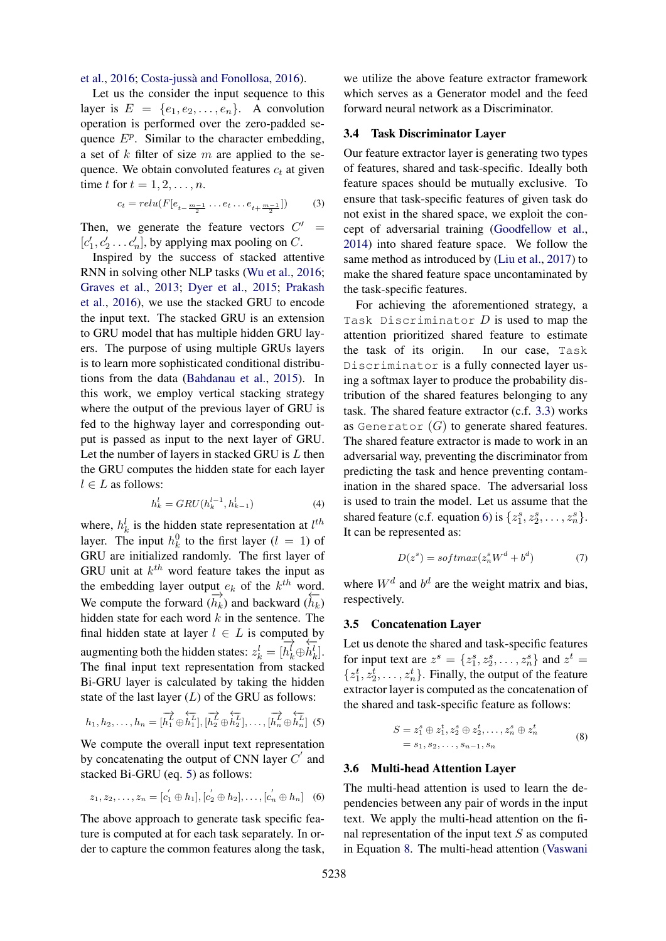#### [et al.,](#page-10-12) [2016;](#page-10-12) Costa-jussà and Fonollosa, [2016\)](#page-9-14).

Let us the consider the input sequence to this layer is  $E = \{e_1, e_2, \ldots, e_n\}$ . A convolution operation is performed over the zero-padded sequence  $E^p$ . Similar to the character embedding, a set of  $k$  filter of size  $m$  are applied to the sequence. We obtain convoluted features  $c_t$  at given time t for  $t = 1, 2, \ldots, n$ .

$$
c_t = relu(F[e_{t-\frac{m-1}{2}} \dots e_t \dots e_{t+\frac{m-1}{2}}])
$$
 (3)

Then, we generate the feature vectors  $C'$  $\equiv$  $[c'_1, c'_2 \dots c'_n]$ , by applying max pooling on C.

Inspired by the success of stacked attentive RNN in solving other NLP tasks [\(Wu et al.,](#page-11-1) [2016;](#page-11-1) [Graves et al.,](#page-9-15) [2013;](#page-9-15) [Dyer et al.,](#page-9-16) [2015;](#page-9-16) [Prakash](#page-10-13) [et al.,](#page-10-13) [2016\)](#page-10-13), we use the stacked GRU to encode the input text. The stacked GRU is an extension to GRU model that has multiple hidden GRU layers. The purpose of using multiple GRUs layers is to learn more sophisticated conditional distributions from the data [\(Bahdanau et al.,](#page-9-17) [2015\)](#page-9-17). In this work, we employ vertical stacking strategy where the output of the previous layer of GRU is fed to the highway layer and corresponding output is passed as input to the next layer of GRU. Let the number of layers in stacked GRU is  $L$  then the GRU computes the hidden state for each layer  $l \in L$  as follows:

$$
h_k^l = GRU(h_k^{l-1}, h_{k-1}^l)
$$
\n(4)

where,  $h_k^l$  is the hidden state representation at  $l^{th}$ layer. The input  $h_k^0$  to the first layer  $(l = 1)$  of GRU are initialized randomly. The first layer of GRU unit at  $k^{th}$  word feature takes the input as the embedding layer output  $e_k$  of the  $k^{th}$  word. We compute the forward  $(\overrightarrow{h_k})$  and backward  $(\overrightarrow{h_k})$ hidden state for each word  $k$  in the sentence. The final hidden state at layer  $l \in L$  is computed by augmenting both the hidden states:  $z_k^l = [$  $\rightarrow$  $h_k^l \oplus$  $\frac{1}{2}$  $\dot{h}_k^l].$ The final input text representation from stacked Bi-GRU layer is calculated by taking the hidden state of the last layer  $(L)$  of the GRU as follows:

$$
h_1, h_2, \ldots, h_n = [\overrightarrow{h_1} \oplus \overleftarrow{h_1} \cdot \overrightarrow{h_2} \cdot \overleftarrow{h_2} \oplus \overleftarrow{h_2} \cdot \overrightarrow{h_2}], \ldots, [\overrightarrow{h_n} \oplus \overleftarrow{h_n} \cdot \overrightarrow{h_n}]
$$
 (5)

We compute the overall input text representation by concatenating the output of CNN layer  $C'$  and stacked Bi-GRU (eq. [5\)](#page-4-0) as follows:

$$
z_1, z_2, \ldots, z_n = [c'_1 \oplus h_1], [c'_2 \oplus h_2], \ldots, [c'_n \oplus h_n]
$$
 (6)

The above approach to generate task specific feature is computed at for each task separately. In order to capture the common features along the task,

we utilize the above feature extractor framework which serves as a Generator model and the feed forward neural network as a Discriminator.

#### 3.4 Task Discriminator Layer

Our feature extractor layer is generating two types of features, shared and task-specific. Ideally both feature spaces should be mutually exclusive. To ensure that task-specific features of given task do not exist in the shared space, we exploit the concept of adversarial training [\(Goodfellow et al.,](#page-9-3) [2014\)](#page-9-3) into shared feature space. We follow the same method as introduced by [\(Liu et al.,](#page-10-14) [2017\)](#page-10-14) to make the shared feature space uncontaminated by the task-specific features.

For achieving the aforementioned strategy, a Task Discriminator  $D$  is used to map the attention prioritized shared feature to estimate the task of its origin. In our case, Task Discriminator is a fully connected layer using a softmax layer to produce the probability distribution of the shared features belonging to any task. The shared feature extractor (c.f. [3.3\)](#page-3-0) works as Generator  $(G)$  to generate shared features. The shared feature extractor is made to work in an adversarial way, preventing the discriminator from predicting the task and hence preventing contamination in the shared space. The adversarial loss is used to train the model. Let us assume that the shared feature (c.f. equation [6\)](#page-4-1) is  $\{z_1^s, z_2^s, \ldots, z_n^s\}$ . It can be represented as:

$$
D(zs) = softmax(znsWd + bd)
$$
 (7)

where  $W<sup>d</sup>$  and  $b<sup>d</sup>$  are the weight matrix and bias, respectively.

#### 3.5 Concatenation Layer

<span id="page-4-0"></span>Let us denote the shared and task-specific features for input text are  $z^s = \{z_1^s, z_2^s, \dots, z_n^s\}$  and  $z^t =$  $\{z_1^t, z_2^t, \ldots, z_n^t\}$ . Finally, the output of the feature extractor layer is computed as the concatenation of the shared and task-specific feature as follows:

<span id="page-4-2"></span>
$$
S = z_1^s \oplus z_1^t, z_2^s \oplus z_2^t, \dots, z_n^s \oplus z_n^t
$$
  
=  $s_1, s_2, \dots, s_{n-1}, s_n$  (8)

#### <span id="page-4-1"></span>3.6 Multi-head Attention Layer

The multi-head attention is used to learn the dependencies between any pair of words in the input text. We apply the multi-head attention on the final representation of the input text  $S$  as computed in Equation [8.](#page-4-2) The multi-head attention [\(Vaswani](#page-10-15)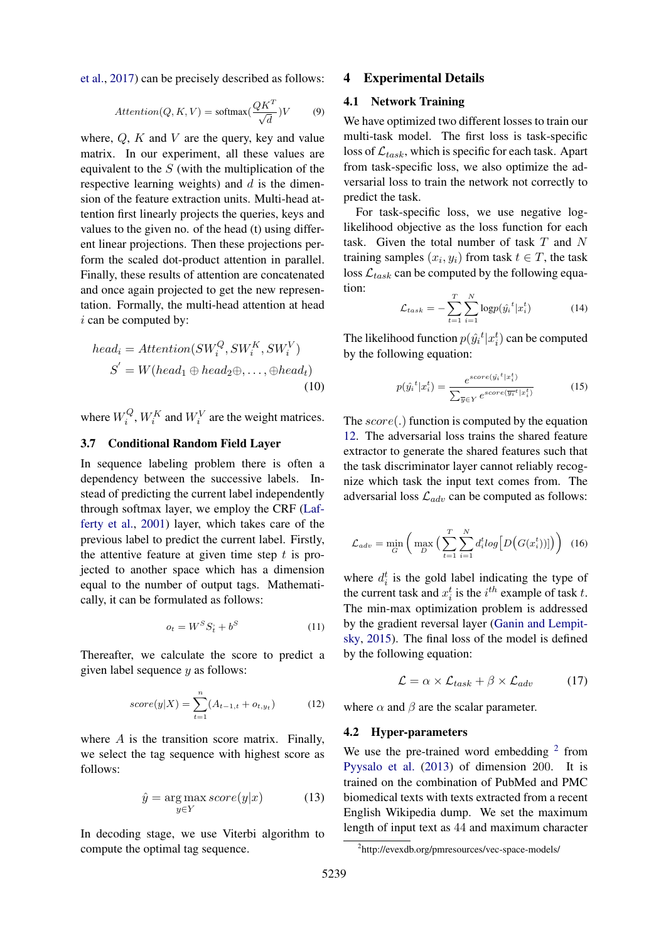[et al.,](#page-10-15) [2017\)](#page-10-15) can be precisely described as follows:

$$
Attention(Q, K, V) = softmax(\frac{QK^{T}}{\sqrt{d}})V
$$
 (9)

where,  $Q$ ,  $K$  and  $V$  are the query, key and value matrix. In our experiment, all these values are equivalent to the  $S$  (with the multiplication of the respective learning weights) and  $d$  is the dimension of the feature extraction units. Multi-head attention first linearly projects the queries, keys and values to the given no. of the head (t) using different linear projections. Then these projections perform the scaled dot-product attention in parallel. Finally, these results of attention are concatenated and once again projected to get the new representation. Formally, the multi-head attention at head i can be computed by:

$$
head_i = Attention(SW_i^Q, SW_i^K, SW_i^V)
$$
  

$$
S' = W(head_1 \oplus head_2 \oplus, ..., \oplus head_t)
$$
  
(10)

where  $W_i^Q$  $i<sup>Q</sup>$ ,  $W_i<sup>K</sup>$  and  $W_i<sup>V</sup>$  are the weight matrices.

## 3.7 Conditional Random Field Layer

In sequence labeling problem there is often a dependency between the successive labels. Instead of predicting the current label independently through softmax layer, we employ the CRF [\(Laf](#page-10-16)[ferty et al.,](#page-10-16) [2001\)](#page-10-16) layer, which takes care of the previous label to predict the current label. Firstly, the attentive feature at given time step  $t$  is projected to another space which has a dimension equal to the number of output tags. Mathematically, it can be formulated as follows:

<span id="page-5-0"></span>
$$
o_t = W^S S_t^* + b^S \tag{11}
$$

Thereafter, we calculate the score to predict a given label sequence  $y$  as follows:

$$
score(y|X) = \sum_{t=1}^{n} (A_{t-1,t} + o_{t,y_t})
$$
 (12)

where  $A$  is the transition score matrix. Finally, we select the tag sequence with highest score as follows:

$$
\hat{y} = \underset{y \in Y}{\arg \max} score(y|x) \tag{13}
$$

In decoding stage, we use Viterbi algorithm to compute the optimal tag sequence.

#### 4 Experimental Details

#### 4.1 Network Training

We have optimized two different losses to train our multi-task model. The first loss is task-specific loss of  $\mathcal{L}_{task}$ , which is specific for each task. Apart from task-specific loss, we also optimize the adversarial loss to train the network not correctly to predict the task.

For task-specific loss, we use negative loglikelihood objective as the loss function for each task. Given the total number of task  $T$  and  $N$ training samples  $(x_i, y_i)$  from task  $t \in T$ , the task loss  $\mathcal{L}_{task}$  can be computed by the following equation:

$$
\mathcal{L}_{task} = -\sum_{t=1}^{T} \sum_{i=1}^{N} \log p(\hat{y_i}^t | x_i^t)
$$
 (14)

The likelihood function  $p(\hat{y_i}^t | x_i^t)$  can be computed by the following equation:

$$
p(\hat{y}_i^t | x_i^t) = \frac{e^{score(\hat{y}_i^t | x_i^t)}}{\sum_{\overline{y} \in Y} e^{score(\overline{y_i^t} | x_i^t)}} \tag{15}
$$

The  $score(.)$  function is computed by the equation [12.](#page-5-0) The adversarial loss trains the shared feature extractor to generate the shared features such that the task discriminator layer cannot reliably recognize which task the input text comes from. The adversarial loss  $\mathcal{L}_{adv}$  can be computed as follows:

$$
\mathcal{L}_{adv} = \min_{G} \left( \max_{D} \left( \sum_{t=1}^{T} \sum_{i=1}^{N} d_i^t log \left[ D \left( G(x_i^t) \right) \right] \right) \right) \tag{16}
$$

where  $d_i^t$  is the gold label indicating the type of the current task and  $x_i^t$  is the  $i^{th}$  example of task t. The min-max optimization problem is addressed by the gradient reversal layer [\(Ganin and Lempit](#page-9-18)[sky,](#page-9-18) [2015\)](#page-9-18). The final loss of the model is defined by the following equation:

$$
\mathcal{L} = \alpha \times \mathcal{L}_{task} + \beta \times \mathcal{L}_{adv} \tag{17}
$$

where  $\alpha$  and  $\beta$  are the scalar parameter.

#### 4.2 Hyper-parameters

We use the pre-trained word embedding  $2$  from [Pyysalo et al.](#page-10-17) [\(2013\)](#page-10-17) of dimension 200. It is trained on the combination of PubMed and PMC biomedical texts with texts extracted from a recent English Wikipedia dump. We set the maximum length of input text as 44 and maximum character

<span id="page-5-1"></span><sup>2</sup> http://evexdb.org/pmresources/vec-space-models/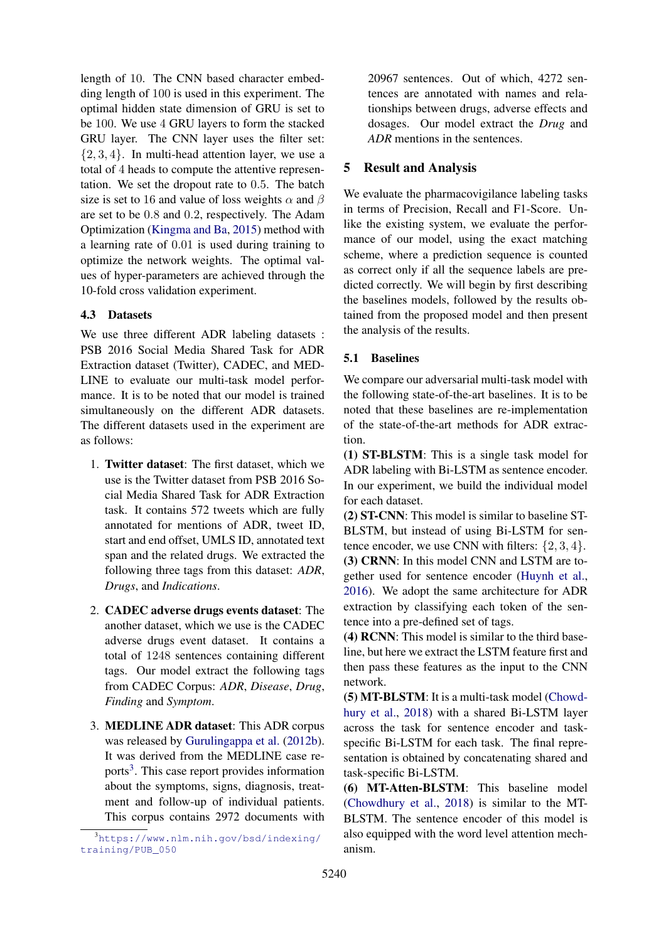length of 10. The CNN based character embedding length of 100 is used in this experiment. The optimal hidden state dimension of GRU is set to be 100. We use 4 GRU layers to form the stacked GRU layer. The CNN layer uses the filter set:  $\{2, 3, 4\}$ . In multi-head attention layer, we use a total of 4 heads to compute the attentive representation. We set the dropout rate to 0.5. The batch size is set to 16 and value of loss weights  $\alpha$  and  $\beta$ are set to be 0.8 and 0.2, respectively. The Adam Optimization [\(Kingma and Ba,](#page-10-18) [2015\)](#page-10-18) method with a learning rate of 0.01 is used during training to optimize the network weights. The optimal values of hyper-parameters are achieved through the 10-fold cross validation experiment.

# 4.3 Datasets

We use three different ADR labeling datasets : PSB 2016 Social Media Shared Task for ADR Extraction dataset (Twitter), CADEC, and MED-LINE to evaluate our multi-task model performance. It is to be noted that our model is trained simultaneously on the different ADR datasets. The different datasets used in the experiment are as follows:

- 1. Twitter dataset: The first dataset, which we use is the Twitter dataset from PSB 2016 Social Media Shared Task for ADR Extraction task. It contains 572 tweets which are fully annotated for mentions of ADR, tweet ID, start and end offset, UMLS ID, annotated text span and the related drugs. We extracted the following three tags from this dataset: *ADR*, *Drugs*, and *Indications*.
- 2. CADEC adverse drugs events dataset: The another dataset, which we use is the CADEC adverse drugs event dataset. It contains a total of 1248 sentences containing different tags. Our model extract the following tags from CADEC Corpus: *ADR*, *Disease*, *Drug*, *Finding* and *Symptom*.
- 3. MEDLINE ADR dataset: This ADR corpus was released by [Gurulingappa et al.](#page-9-10) [\(2012b\)](#page-9-10). It was derived from the MEDLINE case re-ports<sup>[3](#page-6-0)</sup>. This case report provides information about the symptoms, signs, diagnosis, treatment and follow-up of individual patients. This corpus contains 2972 documents with

20967 sentences. Out of which, 4272 sentences are annotated with names and relationships between drugs, adverse effects and dosages. Our model extract the *Drug* and *ADR* mentions in the sentences.

# 5 Result and Analysis

We evaluate the pharmacovigilance labeling tasks in terms of Precision, Recall and F1-Score. Unlike the existing system, we evaluate the performance of our model, using the exact matching scheme, where a prediction sequence is counted as correct only if all the sequence labels are predicted correctly. We will begin by first describing the baselines models, followed by the results obtained from the proposed model and then present the analysis of the results.

## 5.1 Baselines

We compare our adversarial multi-task model with the following state-of-the-art baselines. It is to be noted that these baselines are re-implementation of the state-of-the-art methods for ADR extraction.

(1) ST-BLSTM: This is a single task model for ADR labeling with Bi-LSTM as sentence encoder. In our experiment, we build the individual model for each dataset.

(2) ST-CNN: This model is similar to baseline ST-BLSTM, but instead of using Bi-LSTM for sentence encoder, we use CNN with filters:  $\{2, 3, 4\}$ . (3) CRNN: In this model CNN and LSTM are together used for sentence encoder [\(Huynh et al.,](#page-9-9) [2016\)](#page-9-9). We adopt the same architecture for ADR extraction by classifying each token of the sentence into a pre-defined set of tags.

(4) RCNN: This model is similar to the third baseline, but here we extract the LSTM feature first and then pass these features as the input to the CNN network.

(5) MT-BLSTM: It is a multi-task model [\(Chowd](#page-9-13)[hury et al.,](#page-9-13) [2018\)](#page-9-13) with a shared Bi-LSTM layer across the task for sentence encoder and taskspecific Bi-LSTM for each task. The final representation is obtained by concatenating shared and task-specific Bi-LSTM.

(6) MT-Atten-BLSTM: This baseline model [\(Chowdhury et al.,](#page-9-13) [2018\)](#page-9-13) is similar to the MT-BLSTM. The sentence encoder of this model is also equipped with the word level attention mechanism.

<span id="page-6-0"></span><sup>3</sup>[https://www.nlm.nih.gov/bsd/indexing/](https://www.nlm.nih.gov/bsd/indexing/training/PUB_050) [training/PUB\\_050](https://www.nlm.nih.gov/bsd/indexing/training/PUB_050)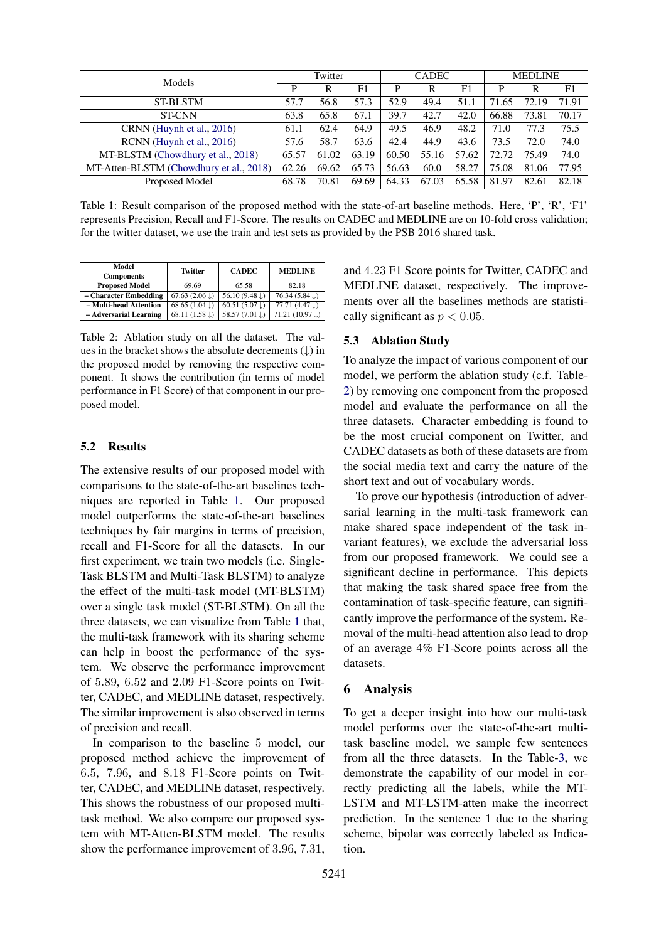<span id="page-7-0"></span>

| Models                                  |       | Twitter |       |       | <b>CADEC</b> |       | <b>MEDLINE</b> |       |       |  |
|-----------------------------------------|-------|---------|-------|-------|--------------|-------|----------------|-------|-------|--|
|                                         | D     | R       | F1    | D     |              | F1    | P              |       | F1    |  |
| <b>ST-BLSTM</b>                         | 57.7  | 56.8    | 57.3  | 52.9  | 49.4         | 51.1  | 71.65          | 72.19 | 71.91 |  |
| <b>ST-CNN</b>                           | 63.8  | 65.8    | 67.1  | 39.7  | 42.7         | 42.0  | 66.88          | 73.81 | 70.17 |  |
| CRNN (Huynh et al., 2016)               | 61.1  | 62.4    | 64.9  | 49.5  | 46.9         | 48.2  | 71.0           | 77.3  | 75.5  |  |
| RCNN (Huynh et al., 2016)               | 57.6  | 58.7    | 63.6  | 42.4  | 44.9         | 43.6  | 73.5           | 72.0  | 74.0  |  |
| MT-BLSTM (Chowdhury et al., 2018)       | 65.57 | 61.02   | 63.19 | 60.50 | 55.16        | 57.62 | 72.72          | 75.49 | 74.0  |  |
| MT-Atten-BLSTM (Chowdhury et al., 2018) | 62.26 | 69.62   | 65.73 | 56.63 | 60.0         | 58.27 | 75.08          | 81.06 | 77.95 |  |
| Proposed Model                          | 68.78 | 70.81   | 69.69 | 64.33 | 67.03        | 65.58 | 81.97          | 82.61 | 82.18 |  |

Table 1: Result comparison of the proposed method with the state-of-art baseline methods. Here, 'P', 'R', 'F1' represents Precision, Recall and F1-Score. The results on CADEC and MEDLINE are on 10-fold cross validation; for the twitter dataset, we use the train and test sets as provided by the PSB 2016 shared task.

<span id="page-7-1"></span>

| Model<br><b>Components</b> | Twitter                   | <b>CADEC</b>              | <b>MEDLINE</b>            |  |  |  |
|----------------------------|---------------------------|---------------------------|---------------------------|--|--|--|
| <b>Proposed Model</b>      | 69.69                     | 65.58                     | 82.18                     |  |  |  |
| - Character Embedding      | 67.63 $(2.06 \downarrow)$ | 56.10 $(9.48 \downarrow)$ | 76.34 $(5.84 \downarrow)$ |  |  |  |
| - Multi-head Attention     | 68.65 $(1.04 \text{ J})$  | 60.51 $(5.07 \downarrow)$ | 77.71(4.47)               |  |  |  |
| - Adversarial Learning     | 68.11 $(1.58 \text{ J})$  | 58.57 (7.01 ↓)            | $71.21(10.97 \text{L})$   |  |  |  |

Table 2: Ablation study on all the dataset. The values in the bracket shows the absolute decrements  $( \downarrow )$  in the proposed model by removing the respective component. It shows the contribution (in terms of model performance in F1 Score) of that component in our proposed model.

## 5.2 Results

The extensive results of our proposed model with comparisons to the state-of-the-art baselines techniques are reported in Table [1.](#page-7-0) Our proposed model outperforms the state-of-the-art baselines techniques by fair margins in terms of precision, recall and F1-Score for all the datasets. In our first experiment, we train two models (i.e. Single-Task BLSTM and Multi-Task BLSTM) to analyze the effect of the multi-task model (MT-BLSTM) over a single task model (ST-BLSTM). On all the three datasets, we can visualize from Table [1](#page-7-0) that, the multi-task framework with its sharing scheme can help in boost the performance of the system. We observe the performance improvement of 5.89, 6.52 and 2.09 F1-Score points on Twitter, CADEC, and MEDLINE dataset, respectively. The similar improvement is also observed in terms of precision and recall.

In comparison to the baseline 5 model, our proposed method achieve the improvement of 6.5, 7.96, and 8.18 F1-Score points on Twitter, CADEC, and MEDLINE dataset, respectively. This shows the robustness of our proposed multitask method. We also compare our proposed system with MT-Atten-BLSTM model. The results show the performance improvement of 3.96, 7.31,

and 4.23 F1 Score points for Twitter, CADEC and MEDLINE dataset, respectively. The improvements over all the baselines methods are statistically significant as  $p < 0.05$ .

#### 5.3 Ablation Study

To analyze the impact of various component of our model, we perform the ablation study (c.f. Table-[2\)](#page-7-1) by removing one component from the proposed model and evaluate the performance on all the three datasets. Character embedding is found to be the most crucial component on Twitter, and CADEC datasets as both of these datasets are from the social media text and carry the nature of the short text and out of vocabulary words.

To prove our hypothesis (introduction of adversarial learning in the multi-task framework can make shared space independent of the task invariant features), we exclude the adversarial loss from our proposed framework. We could see a significant decline in performance. This depicts that making the task shared space free from the contamination of task-specific feature, can significantly improve the performance of the system. Removal of the multi-head attention also lead to drop of an average 4% F1-Score points across all the datasets.

### 6 Analysis

To get a deeper insight into how our multi-task model performs over the state-of-the-art multitask baseline model, we sample few sentences from all the three datasets. In the Table[-3,](#page-8-1) we demonstrate the capability of our model in correctly predicting all the labels, while the MT-LSTM and MT-LSTM-atten make the incorrect prediction. In the sentence 1 due to the sharing scheme, bipolar was correctly labeled as Indication.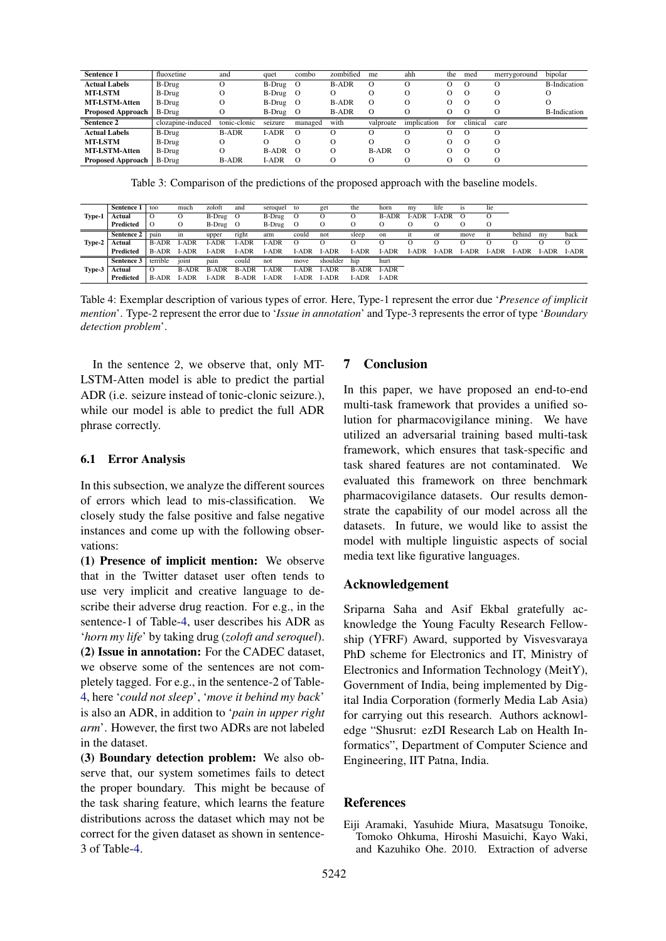<span id="page-8-1"></span>

| Sentence 1               | fluoxetine        | and          | quet         | combo    | zombified    | me           | ahh         | the               | med      | merrygoround | bipolar              |
|--------------------------|-------------------|--------------|--------------|----------|--------------|--------------|-------------|-------------------|----------|--------------|----------------------|
| <b>Actual Labels</b>     | B-Drug            |              | $B-Drug$ O   |          | <b>B-ADR</b> |              | О           |                   |          |              | <b>B-Indication</b>  |
| <b>MT-LSTM</b>           | B-Drug            | 0            | B-Drug O     |          | O            |              | Ω           | О                 | $\theta$ | O            |                      |
| <b>MT-LSTM-Atten</b>     | B-Drug            | Ő            | B-Drug O     |          | <b>B-ADR</b> |              | О           | $^{(1)}$          | $\theta$ | $\Omega$     |                      |
| <b>Proposed Approach</b> | B-Drug            |              | B-Drug O     |          | <b>B-ADR</b> |              | O           | О                 |          |              | <b>B</b> -Indication |
| <b>Sentence 2</b>        | clozapine-induced | tonic-clonic | seizure      | managed  | with         | valproate    | implication | for               | clinical | care         |                      |
| <b>Actual Labels</b>     | B-Drug            | <b>B-ADR</b> | I-ADR        | $\Omega$ | $\Omega$     |              | O           | O                 | $\theta$ |              |                      |
| <b>MT-LSTM</b>           | B-Drug            | O            | О            | 0        | О            |              | О           | О                 | $\theta$ | $\Omega$     |                      |
| <b>MT-LSTM-Atten</b>     | B-Drug            |              | <b>B-ADR</b> | - റ      | Ω            | <b>B-ADR</b> | $\Omega$    | $\mathbf{\Omega}$ | $\theta$ | $\Omega$     |                      |
| <b>Proposed Approach</b> | B-Drug            | <b>B-ADR</b> | I-ADR        | $\Omega$ | Ω            |              | Ω           |                   |          | O            |                      |

Table 3: Comparison of the predictions of the proposed approach with the baseline models.

<span id="page-8-2"></span>

| Type-1 | Sentence 1 | too          | much         | zoloft       | and          | seroquel     | to           | get          | the          | horn         | my           | life          | <i>is</i>   | lie         |             |       |              |
|--------|------------|--------------|--------------|--------------|--------------|--------------|--------------|--------------|--------------|--------------|--------------|---------------|-------------|-------------|-------------|-------|--------------|
|        | Actual     | $\circ$      |              | B-Drug       | О            | B-Drug       | 0            |              | О            | <b>B-ADR</b> | -ADR         | <b>LADR</b>   | $\circ$     | $\circ$     |             |       |              |
|        | Predicted  | $\Omega$     | О            | B-Drug       | О            | B-Drug       | $\circ$      | О            | O            | О            | О            | $\circ$       | O           | $\Omega$    |             |       |              |
| Type-2 | Sentence 2 | pain         | in           | upper        | right        | arm          | could        | not          | sleep        | on           | 11           | <sub>or</sub> | move        | it          | behind      | my    | back         |
|        | Actual     | <b>B-ADR</b> | I-ADR        | I-ADR        | I-ADR        | I-ADR        | $\circ$      |              | O            | $\left($     |              |               |             | O)          |             |       | $\Omega$     |
|        | Predicted  | <b>B-ADR</b> | <b>I-ADR</b> | I-ADR        | <b>I-ADR</b> | <b>I-ADR</b> | I-ADR        | <b>I-ADR</b> | $I-ADR$      | <b>I-ADR</b> | <b>I-ADR</b> | LADR          | <b>LADR</b> | <b>LADR</b> | <b>LADR</b> | I-ADR | <b>I-ADR</b> |
| Type-3 | Sentence 3 | terrible     | joint        | pain         | could        | not          | move         | shoulder     | hip          | hurt         |              |               |             |             |             |       |              |
|        | Actual     | $\Omega$     | <b>B-ADR</b> | <b>B-ADR</b> | <b>B-ADR</b> | I-ADR        | I-ADR        | <b>LADR</b>  | <b>B-ADR</b> | I-ADR        |              |               |             |             |             |       |              |
|        | Predicted  | <b>B-ADR</b> | LADR         | ADR          | <b>B-ADR</b> | LADR         | <b>I-ADR</b> | <b>LADR</b>  | LADR.        | <b>I-ADR</b> |              |               |             |             |             |       |              |

Table 4: Exemplar description of various types of error. Here, Type-1 represent the error due '*Presence of implicit mention*'. Type-2 represent the error due to '*Issue in annotation*' and Type-3 represents the error of type '*Boundary detection problem*'.

In the sentence 2, we observe that, only MT-LSTM-Atten model is able to predict the partial ADR (i.e. seizure instead of tonic-clonic seizure.), while our model is able to predict the full ADR phrase correctly.

### 6.1 Error Analysis

In this subsection, we analyze the different sources of errors which lead to mis-classification. We closely study the false positive and false negative instances and come up with the following observations:

(1) Presence of implicit mention: We observe that in the Twitter dataset user often tends to use very implicit and creative language to describe their adverse drug reaction. For e.g., in the sentence-1 of Table[-4,](#page-8-2) user describes his ADR as '*horn my life*' by taking drug (*zoloft and seroquel*). (2) Issue in annotation: For the CADEC dataset, we observe some of the sentences are not completely tagged. For e.g., in the sentence-2 of Table-[4,](#page-8-2) here '*could not sleep*', '*move it behind my back*' is also an ADR, in addition to '*pain in upper right arm*'. However, the first two ADRs are not labeled in the dataset.

(3) Boundary detection problem: We also observe that, our system sometimes fails to detect the proper boundary. This might be because of the task sharing feature, which learns the feature distributions across the dataset which may not be correct for the given dataset as shown in sentence-3 of Table[-4.](#page-8-2)

## 7 Conclusion

In this paper, we have proposed an end-to-end multi-task framework that provides a unified solution for pharmacovigilance mining. We have utilized an adversarial training based multi-task framework, which ensures that task-specific and task shared features are not contaminated. We evaluated this framework on three benchmark pharmacovigilance datasets. Our results demonstrate the capability of our model across all the datasets. In future, we would like to assist the model with multiple linguistic aspects of social media text like figurative languages.

### Acknowledgement

Sriparna Saha and Asif Ekbal gratefully acknowledge the Young Faculty Research Fellowship (YFRF) Award, supported by Visvesvaraya PhD scheme for Electronics and IT, Ministry of Electronics and Information Technology (MeitY), Government of India, being implemented by Digital India Corporation (formerly Media Lab Asia) for carrying out this research. Authors acknowledge "Shusrut: ezDI Research Lab on Health Informatics", Department of Computer Science and Engineering, IIT Patna, India.

### **References**

<span id="page-8-0"></span>Eiji Aramaki, Yasuhide Miura, Masatsugu Tonoike, Tomoko Ohkuma, Hiroshi Masuichi, Kayo Waki, and Kazuhiko Ohe. 2010. Extraction of adverse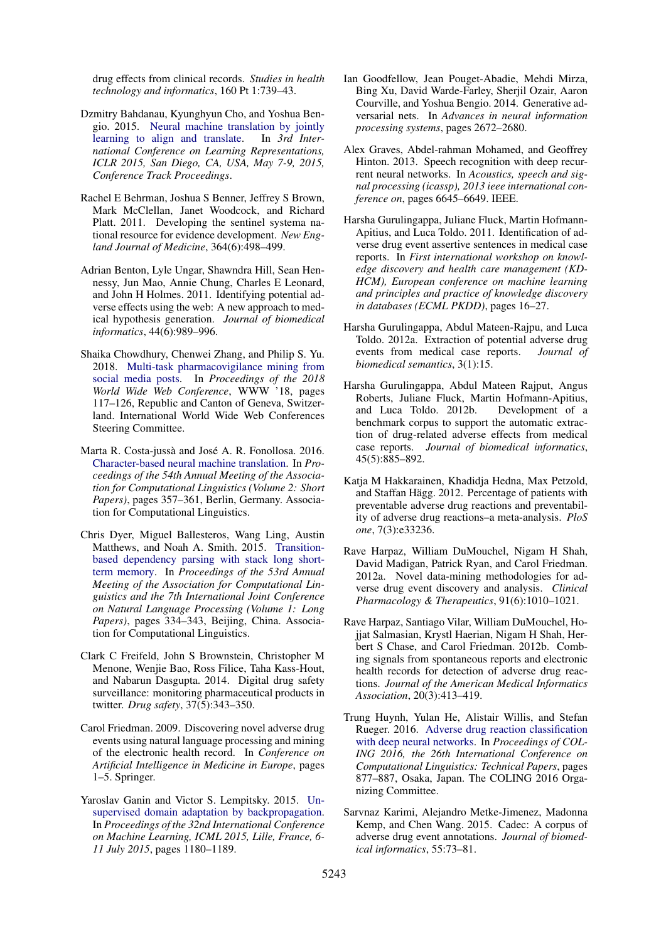drug effects from clinical records. *Studies in health technology and informatics*, 160 Pt 1:739–43.

- <span id="page-9-17"></span>Dzmitry Bahdanau, Kyunghyun Cho, and Yoshua Bengio. 2015. [Neural machine translation by jointly](http://arxiv.org/abs/1409.0473) [learning to align and translate.](http://arxiv.org/abs/1409.0473) In *3rd International Conference on Learning Representations, ICLR 2015, San Diego, CA, USA, May 7-9, 2015, Conference Track Proceedings*.
- <span id="page-9-1"></span>Rachel E Behrman, Joshua S Benner, Jeffrey S Brown, Mark McClellan, Janet Woodcock, and Richard Platt. 2011. Developing the sentinel systema national resource for evidence development. *New England Journal of Medicine*, 364(6):498–499.
- <span id="page-9-11"></span>Adrian Benton, Lyle Ungar, Shawndra Hill, Sean Hennessy, Jun Mao, Annie Chung, Charles E Leonard, and John H Holmes. 2011. Identifying potential adverse effects using the web: A new approach to medical hypothesis generation. *Journal of biomedical informatics*, 44(6):989–996.
- <span id="page-9-13"></span>Shaika Chowdhury, Chenwei Zhang, and Philip S. Yu. 2018. [Multi-task pharmacovigilance mining from](https://doi.org/10.1145/3178876.3186053) [social media posts.](https://doi.org/10.1145/3178876.3186053) In *Proceedings of the 2018 World Wide Web Conference*, WWW '18, pages 117–126, Republic and Canton of Geneva, Switzerland. International World Wide Web Conferences Steering Committee.
- <span id="page-9-14"></span>Marta R. Costa-jussà and José A. R. Fonollosa. 2016. [Character-based neural machine translation.](https://doi.org/10.18653/v1/P16-2058) In *Proceedings of the 54th Annual Meeting of the Association for Computational Linguistics (Volume 2: Short Papers)*, pages 357–361, Berlin, Germany. Association for Computational Linguistics.
- <span id="page-9-16"></span>Chris Dyer, Miguel Ballesteros, Wang Ling, Austin Matthews, and Noah A. Smith. 2015. [Transition](https://doi.org/10.3115/v1/P15-1033)[based dependency parsing with stack long short](https://doi.org/10.3115/v1/P15-1033)[term memory.](https://doi.org/10.3115/v1/P15-1033) In *Proceedings of the 53rd Annual Meeting of the Association for Computational Linguistics and the 7th International Joint Conference on Natural Language Processing (Volume 1: Long Papers)*, pages 334–343, Beijing, China. Association for Computational Linguistics.
- <span id="page-9-2"></span>Clark C Freifeld, John S Brownstein, Christopher M Menone, Wenjie Bao, Ross Filice, Taha Kass-Hout, and Nabarun Dasgupta. 2014. Digital drug safety surveillance: monitoring pharmaceutical products in twitter. *Drug safety*, 37(5):343–350.
- <span id="page-9-6"></span>Carol Friedman. 2009. Discovering novel adverse drug events using natural language processing and mining of the electronic health record. In *Conference on Artificial Intelligence in Medicine in Europe*, pages 1–5. Springer.
- <span id="page-9-18"></span>Yaroslav Ganin and Victor S. Lempitsky. 2015. [Un](http://proceedings.mlr.press/v37/ganin15.html)[supervised domain adaptation by backpropagation.](http://proceedings.mlr.press/v37/ganin15.html) In *Proceedings of the 32nd International Conference on Machine Learning, ICML 2015, Lille, France, 6- 11 July 2015*, pages 1180–1189.
- <span id="page-9-3"></span>Ian Goodfellow, Jean Pouget-Abadie, Mehdi Mirza, Bing Xu, David Warde-Farley, Sherjil Ozair, Aaron Courville, and Yoshua Bengio. 2014. Generative adversarial nets. In *Advances in neural information processing systems*, pages 2672–2680.
- <span id="page-9-15"></span>Alex Graves, Abdel-rahman Mohamed, and Geoffrey Hinton. 2013. Speech recognition with deep recurrent neural networks. In *Acoustics, speech and signal processing (icassp), 2013 ieee international conference on*, pages 6645–6649. IEEE.
- <span id="page-9-7"></span>Harsha Gurulingappa, Juliane Fluck, Martin Hofmann-Apitius, and Luca Toldo. 2011. Identification of adverse drug event assertive sentences in medical case reports. In *First international workshop on knowledge discovery and health care management (KD-HCM), European conference on machine learning and principles and practice of knowledge discovery in databases (ECML PKDD)*, pages 16–27.
- <span id="page-9-5"></span>Harsha Gurulingappa, Abdul Mateen-Rajpu, and Luca Toldo. 2012a. Extraction of potential adverse drug events from medical case reports. *Journal of biomedical semantics*, 3(1):15.
- <span id="page-9-10"></span>Harsha Gurulingappa, Abdul Mateen Rajput, Angus Roberts, Juliane Fluck, Martin Hofmann-Apitius, and Luca Toldo. 2012b. Development of a benchmark corpus to support the automatic extraction of drug-related adverse effects from medical case reports. *Journal of biomedical informatics*, 45(5):885–892.
- <span id="page-9-0"></span>Katja M Hakkarainen, Khadidja Hedna, Max Petzold, and Staffan Hägg. 2012. Percentage of patients with preventable adverse drug reactions and preventability of adverse drug reactions–a meta-analysis. *PloS one*, 7(3):e33236.
- <span id="page-9-12"></span>Rave Harpaz, William DuMouchel, Nigam H Shah, David Madigan, Patrick Ryan, and Carol Friedman. 2012a. Novel data-mining methodologies for adverse drug event discovery and analysis. *Clinical Pharmacology & Therapeutics*, 91(6):1010–1021.
- <span id="page-9-8"></span>Rave Harpaz, Santiago Vilar, William DuMouchel, Hojjat Salmasian, Krystl Haerian, Nigam H Shah, Herbert S Chase, and Carol Friedman. 2012b. Combing signals from spontaneous reports and electronic health records for detection of adverse drug reactions. *Journal of the American Medical Informatics Association*, 20(3):413–419.
- <span id="page-9-9"></span>Trung Huynh, Yulan He, Alistair Willis, and Stefan Rueger. 2016. [Adverse drug reaction classification](https://www.aclweb.org/anthology/C16-1084) [with deep neural networks.](https://www.aclweb.org/anthology/C16-1084) In *Proceedings of COL-ING 2016, the 26th International Conference on Computational Linguistics: Technical Papers*, pages 877–887, Osaka, Japan. The COLING 2016 Organizing Committee.
- <span id="page-9-4"></span>Sarvnaz Karimi, Alejandro Metke-Jimenez, Madonna Kemp, and Chen Wang. 2015. Cadec: A corpus of adverse drug event annotations. *Journal of biomedical informatics*, 55:73–81.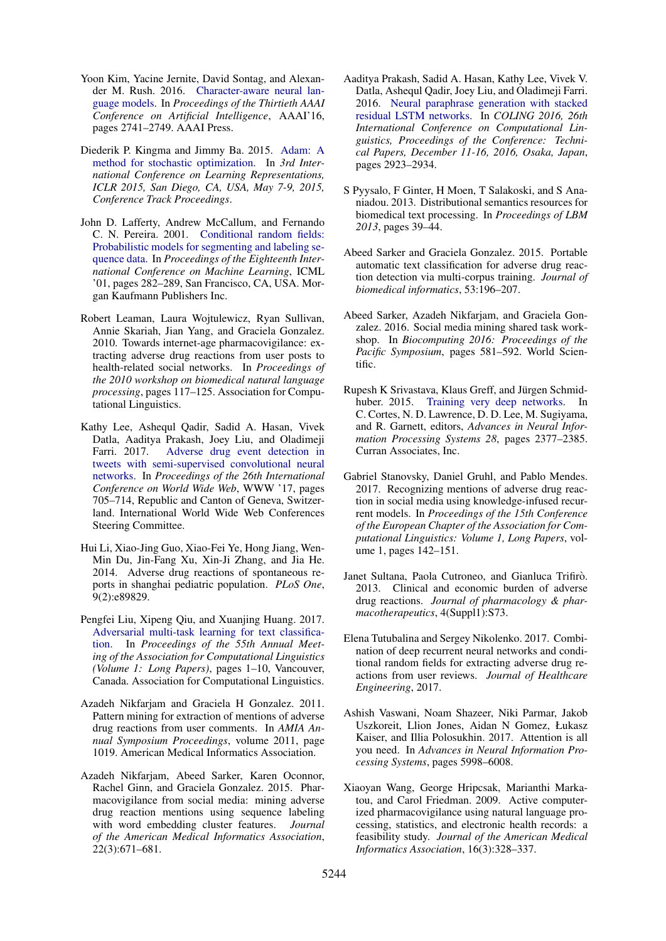- <span id="page-10-12"></span>Yoon Kim, Yacine Jernite, David Sontag, and Alexander M. Rush. 2016. [Character-aware neural lan](http://dl.acm.org/citation.cfm?id=3016100.3016285)[guage models.](http://dl.acm.org/citation.cfm?id=3016100.3016285) In *Proceedings of the Thirtieth AAAI Conference on Artificial Intelligence*, AAAI'16, pages 2741–2749. AAAI Press.
- <span id="page-10-18"></span>Diederik P. Kingma and Jimmy Ba. 2015. [Adam: A](http://arxiv.org/abs/1412.6980) [method for stochastic optimization.](http://arxiv.org/abs/1412.6980) In *3rd International Conference on Learning Representations, ICLR 2015, San Diego, CA, USA, May 7-9, 2015, Conference Track Proceedings*.
- <span id="page-10-16"></span>John D. Lafferty, Andrew McCallum, and Fernando C. N. Pereira. 2001. [Conditional random fields:](http://dl.acm.org/citation.cfm?id=645530.655813) [Probabilistic models for segmenting and labeling se](http://dl.acm.org/citation.cfm?id=645530.655813)[quence data.](http://dl.acm.org/citation.cfm?id=645530.655813) In *Proceedings of the Eighteenth International Conference on Machine Learning*, ICML '01, pages 282–289, San Francisco, CA, USA. Morgan Kaufmann Publishers Inc.
- <span id="page-10-2"></span>Robert Leaman, Laura Wojtulewicz, Ryan Sullivan, Annie Skariah, Jian Yang, and Graciela Gonzalez. 2010. Towards internet-age pharmacovigilance: extracting adverse drug reactions from user posts to health-related social networks. In *Proceedings of the 2010 workshop on biomedical natural language processing*, pages 117–125. Association for Computational Linguistics.
- <span id="page-10-8"></span>Kathy Lee, Ashequl Qadir, Sadid A. Hasan, Vivek Datla, Aaditya Prakash, Joey Liu, and Oladimeji Farri. 2017. [Adverse drug event detection in](https://doi.org/10.1145/3038912.3052671) [tweets with semi-supervised convolutional neural](https://doi.org/10.1145/3038912.3052671) [networks.](https://doi.org/10.1145/3038912.3052671) In *Proceedings of the 26th International Conference on World Wide Web*, WWW '17, pages 705–714, Republic and Canton of Geneva, Switzerland. International World Wide Web Conferences Steering Committee.
- <span id="page-10-1"></span>Hui Li, Xiao-Jing Guo, Xiao-Fei Ye, Hong Jiang, Wen-Min Du, Jin-Fang Xu, Xin-Ji Zhang, and Jia He. 2014. Adverse drug reactions of spontaneous reports in shanghai pediatric population. *PLoS One*, 9(2):e89829.
- <span id="page-10-14"></span>Pengfei Liu, Xipeng Qiu, and Xuanjing Huang. 2017. [Adversarial multi-task learning for text classifica](https://doi.org/10.18653/v1/P17-1001)[tion.](https://doi.org/10.18653/v1/P17-1001) In *Proceedings of the 55th Annual Meeting of the Association for Computational Linguistics (Volume 1: Long Papers)*, pages 1–10, Vancouver, Canada. Association for Computational Linguistics.
- <span id="page-10-6"></span>Azadeh Nikfarjam and Graciela H Gonzalez. 2011. Pattern mining for extraction of mentions of adverse drug reactions from user comments. In *AMIA Annual Symposium Proceedings*, volume 2011, page 1019. American Medical Informatics Association.
- <span id="page-10-7"></span>Azadeh Nikfarjam, Abeed Sarker, Karen Oconnor, Rachel Ginn, and Graciela Gonzalez. 2015. Pharmacovigilance from social media: mining adverse drug reaction mentions using sequence labeling with word embedding cluster features. *Journal of the American Medical Informatics Association*, 22(3):671–681.
- <span id="page-10-13"></span>Aaditya Prakash, Sadid A. Hasan, Kathy Lee, Vivek V. Datla, Ashequl Qadir, Joey Liu, and Oladimeji Farri. 2016. [Neural paraphrase generation with stacked](http://aclweb.org/anthology/C/C16/C16-1275.pdf) [residual LSTM networks.](http://aclweb.org/anthology/C/C16/C16-1275.pdf) In *COLING 2016, 26th International Conference on Computational Linguistics, Proceedings of the Conference: Technical Papers, December 11-16, 2016, Osaka, Japan*, pages 2923–2934.
- <span id="page-10-17"></span>S Pyysalo, F Ginter, H Moen, T Salakoski, and S Ananiadou. 2013. Distributional semantics resources for biomedical text processing. In *Proceedings of LBM 2013*, pages 39–44.
- <span id="page-10-5"></span>Abeed Sarker and Graciela Gonzalez. 2015. Portable automatic text classification for adverse drug reaction detection via multi-corpus training. *Journal of biomedical informatics*, 53:196–207.
- <span id="page-10-3"></span>Abeed Sarker, Azadeh Nikfarjam, and Graciela Gonzalez. 2016. Social media mining shared task workshop. In *Biocomputing 2016: Proceedings of the Pacific Symposium*, pages 581–592. World Scientific.
- <span id="page-10-11"></span>Rupesh K Srivastava, Klaus Greff, and Jürgen Schmidhuber. 2015. [Training very deep networks.](http://papers.nips.cc/paper/5850-training-very-deep-networks.pdf) In C. Cortes, N. D. Lawrence, D. D. Lee, M. Sugiyama, and R. Garnett, editors, *Advances in Neural Information Processing Systems 28*, pages 2377–2385. Curran Associates, Inc.
- <span id="page-10-9"></span>Gabriel Stanovsky, Daniel Gruhl, and Pablo Mendes. 2017. Recognizing mentions of adverse drug reaction in social media using knowledge-infused recurrent models. In *Proceedings of the 15th Conference of the European Chapter of the Association for Computational Linguistics: Volume 1, Long Papers*, volume 1, pages 142–151.
- <span id="page-10-0"></span>Janet Sultana, Paola Cutroneo, and Gianluca Trifirò. 2013. Clinical and economic burden of adverse drug reactions. *Journal of pharmacology & pharmacotherapeutics*, 4(Suppl1):S73.
- <span id="page-10-10"></span>Elena Tutubalina and Sergey Nikolenko. 2017. Combination of deep recurrent neural networks and conditional random fields for extracting adverse drug reactions from user reviews. *Journal of Healthcare Engineering*, 2017.
- <span id="page-10-15"></span>Ashish Vaswani, Noam Shazeer, Niki Parmar, Jakob Uszkoreit, Llion Jones, Aidan N Gomez, Łukasz Kaiser, and Illia Polosukhin. 2017. Attention is all you need. In *Advances in Neural Information Processing Systems*, pages 5998–6008.
- <span id="page-10-4"></span>Xiaoyan Wang, George Hripcsak, Marianthi Markatou, and Carol Friedman. 2009. Active computerized pharmacovigilance using natural language processing, statistics, and electronic health records: a feasibility study. *Journal of the American Medical Informatics Association*, 16(3):328–337.